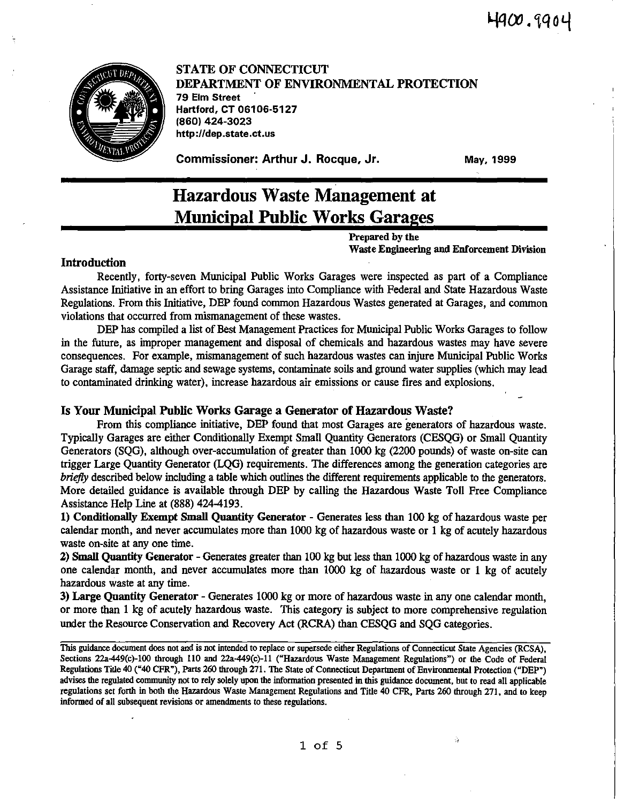

STATE OF CONNECTICUT DEPARTMENT OF ENVIRONMENTAL PROTECTION 79 Elm Street Hartford, CT 06106-5127 (860) 424-3023 http://dep.state.ct.us

Commissioner: Arthur J. Rocque, Jr.

May, 1999

# Hazardous Waste Management at Municipal Public Works Garages

Prepared by the Waste Engineering and Enforcement Division

### Introduction

Recently, forty-seven Municipal Public Works Garages were inspected as part of a Compliance Assistance Initiative in an effort to bring Garages into Compliance with Federal and State Hazardous Waste Regulations. From this Initiative, DEP found common Hazardous Wastes generated at Garages, and common violations that occurred from mismanagement of these wastes.

DEP has compiled a list of Best Management Practices for Municipal Public Works Garages to follow in the future, as improper management and disposal of chemicals and hazardous wastes may have severe consequences. For example, mismanagement of such hazardous wastes can injure Municipal Public Works Garage staff, damage septic and sewage systems, contaminate soils and ground water supplies (which may lead to contaminated drinking water), increase hazardous air emissions or cause fires and explosions.

### Is Your Municipal Public Works Garage a Generator of Hazardous Waste?

From this compliance initiative, DEP found that most Garages are generators of hazardous waste. Typically Garages are either Conditionally Exempt Small Quantity Generators (CESQG) or Small Quantity Generators (SQG), although over-accumulation of greater than 1000 kg (2200 pounds) of waste on-site can trigger Large Quantity Generator (LQG) requirements. The differences among the generation categories are briefly described below including a table which outlines the different requirements applicable to the generators. More detailed guidance is available through DEP by calling the Hazardous Waste Toll Free Compliance Assistance Help Line at (888) 424-4193.

1) Conditionally Exempt Small Quantity Generator - Generates less than 100 kg of hazardous waste per calendar month, and never accumulates more than 1000 kg of hazardous waste or 1 kg of acutely hazardous waste on-site at any one time.

2) Small Quantity Generator - Generates greater than 100 kg but less than 1000 kg of hazardous waste in any one calendar month, and never accumulates more than 1000 kg of hazardous waste or 1 kg of acutely hazardous waste at any time.

3) Large Quantity Generator - Generates 1000 kg or more of hazardous waste in any one calendar month, or more than 1 kg of acutely hazardous waste. This category is subject to more comprehensive regulation under the Resource Conservation and Recovery Act (RCRA) than CESQG and SQG categories.

This guidance document does not and is not intended to replace or supersede either Regulations of Connecticut State Agencies (RCSA), Sections 22a-449(c)-100 through 110 and 22a-449(c)-11 ("Hazardous Waste Management Regulations") or the Code of Federal Regulations Title 40 ("40 CPR"), Parts 260 through 271. The State of Connecticut Department of Environmental Protection ("DEP") advises the regulated connnunity not to rely solely upon the information presented in this guidance document, but to read all applicable regulations set forth in both the Hazardous Waste Management Regulations and Title 40 CPR, Parts 260 through 271, and to keep informed of all subsequent revisions or amendments to these regulations.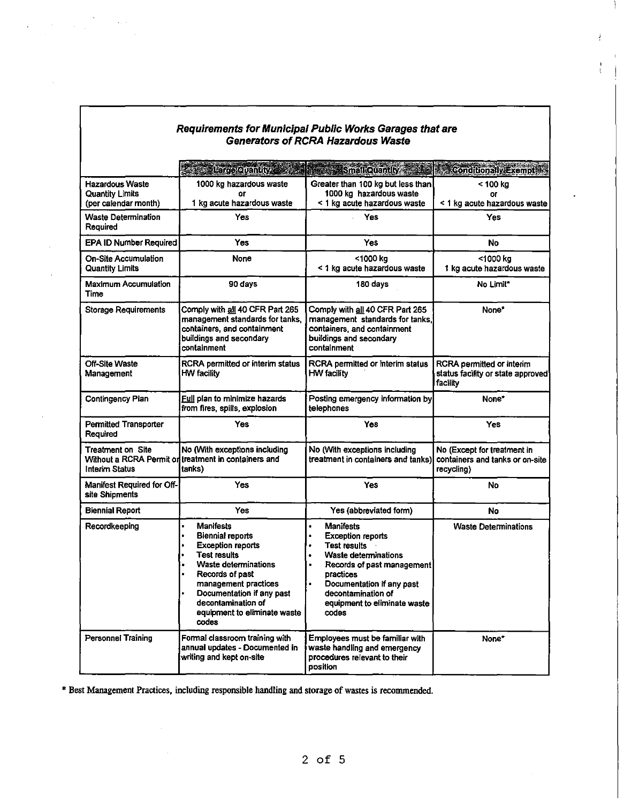| Generators of RCRA Hazardous Waste                                       |                                                                                                                                                                                                                                                                                                           |                                                                                                                                                                                                                                                                            |                                                                              |
|--------------------------------------------------------------------------|-----------------------------------------------------------------------------------------------------------------------------------------------------------------------------------------------------------------------------------------------------------------------------------------------------------|----------------------------------------------------------------------------------------------------------------------------------------------------------------------------------------------------------------------------------------------------------------------------|------------------------------------------------------------------------------|
|                                                                          | Litropening St                                                                                                                                                                                                                                                                                            | <b>Small Quantly</b>                                                                                                                                                                                                                                                       | <b>Conditionally Exempt 19</b>                                               |
| <b>Hazardous Waste</b><br><b>Quantity Limits</b><br>(per calendar month) | 1000 kg hazardous waste<br>or<br>1 kg acute hazardous waste                                                                                                                                                                                                                                               | Greater than 100 kg but less than<br>1000 kg hazardous waste<br>< 1 kg acute hazardous waste                                                                                                                                                                               | $<$ 100 kg<br>or<br>< 1 kg acute hazardous waste                             |
| <b>Waste Determination</b><br>Required                                   | Yes                                                                                                                                                                                                                                                                                                       | Yes                                                                                                                                                                                                                                                                        | Yes                                                                          |
| EPA ID Number Required                                                   | <b>Yes</b>                                                                                                                                                                                                                                                                                                | <b>Yes</b>                                                                                                                                                                                                                                                                 | No                                                                           |
| <b>On-Site Accumulation</b><br><b>Quantity Limits</b>                    | None                                                                                                                                                                                                                                                                                                      | <1000 kg<br>< 1 kg acute hazardous waste                                                                                                                                                                                                                                   | <1000 kg<br>1 kg acute hazardous waste                                       |
| Maximum Accumulation<br>Time                                             | 90 days                                                                                                                                                                                                                                                                                                   | 180 days                                                                                                                                                                                                                                                                   | No Limit*                                                                    |
| <b>Storage Requirements</b>                                              | Comply with all 40 CFR Part 265<br>management standards for tanks,<br>containers, and containment<br>buildings and secondary<br>containment                                                                                                                                                               | Comply with all 40 CFR Part 265<br>management standards for tanks.<br>containers, and containment<br>buildings and secondary<br>containment                                                                                                                                | None*                                                                        |
| <b>Off-Site Waste</b><br>Management                                      | RCRA permitted or interim status<br>HW facility                                                                                                                                                                                                                                                           | RCRA permitted or interim status<br><b>HW facility</b>                                                                                                                                                                                                                     | RCRA permitted or interim<br>status facility or state approved<br>facility   |
| <b>Contingency Plan</b>                                                  | <u>Full</u> plan to minimize hazards<br>from fires, spills, explosion                                                                                                                                                                                                                                     | Posting emergency information by<br>telephones                                                                                                                                                                                                                             | None*                                                                        |
| <b>Permitted Transporter</b><br>Required                                 | Yes                                                                                                                                                                                                                                                                                                       | Yes                                                                                                                                                                                                                                                                        | Yes                                                                          |
| Treatment on Site<br><b>Interim Status</b>                               | No (With exceptions including<br>Without a RCRA Permit on treatment in containers and<br>tanks)                                                                                                                                                                                                           | No (With exceptions including<br>treatment in containers and tanks)                                                                                                                                                                                                        | No (Except for treatment in<br>containers and tanks or on-site<br>recycling) |
| Manifest Required for Off-<br>site Shipments                             | Yes                                                                                                                                                                                                                                                                                                       | Yes                                                                                                                                                                                                                                                                        | No                                                                           |
| <b>Biennial Report</b>                                                   | Yes                                                                                                                                                                                                                                                                                                       | Yes (abbreviated form)                                                                                                                                                                                                                                                     | No                                                                           |
| Recordkeeping                                                            | <b>Manifests</b><br>$\bullet$<br>$\bullet$<br><b>Biennial reports</b><br><b>Exception reports</b><br>٠<br><b>Test results</b><br>Waste determinations<br>$\bullet$<br>Records of past<br>management practices<br>Documentation if any past<br>decontamination of<br>equipment to eliminate waste<br>codes | <b>Manifests</b><br>٠<br><b>Exception reports</b><br>٠<br><b>Test results</b><br>$\bullet$<br><b>Waste determinations</b><br>Records of past management<br>٠<br>practices<br>Documentation if any past<br>٠<br>decontamination of<br>equipment to eliminate waste<br>codes | <b>Waste Determinations</b>                                                  |
| <b>Personnel Training</b>                                                | Formal classroom training with<br>annual updates - Documented in<br>writing and kept on-site                                                                                                                                                                                                              | Employees must be familiar with<br>waste handling and emergency<br>procedures relevant to their<br>position                                                                                                                                                                | None*                                                                        |

Requirements for Municipal Public Works Garages that are Generators of RCRA Hazardous Waste

 $\label{eq:2.1} \frac{1}{\sqrt{2\pi}}\sum_{i=1}^{\infty}\frac{1}{\sqrt{2\pi}}\int_{0}^{\infty}d\mu\,d\mu\,.$ 

÷.

\* Best Management Practices, including responsible handling and storage of wastes is recommended.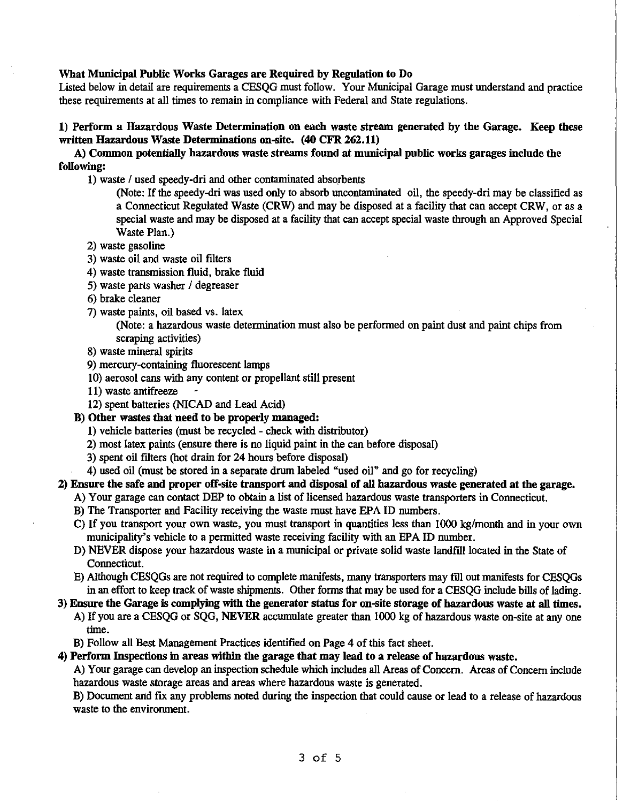#### What Municipal Public Works Garages are Required by Regulation to Do

Listed below in detail are requirements a CESQG must follow. Your Municipal Garage must understand and practice these requirements at all times to remain in compliance with Federal and State regulations.

# 1) Perform a Hazardous Waste Determination on each waste stream generated by the Garage. Keep these written Hazardous Waste Determinations on-site. (40 CFR 262.11)

# A) Common potentially hazardous waste streams found at municipal public works garages include the following:

1) waste / used speedy-dri and other contaminated absorbents

(Note: If the speedy-<lri was used only to absorb uncontaminated oil, the speedy-dri may be classified as a Connecticut Regulated Waste (CRW) and may be disposed at a facility that can accept CRW, or as a special waste and may be disposed at a facility that can accept special waste through an Approved Special Waste Plan.)

- 2) waste gasoline
- 3) waste oil and waste oil filters
- 4) waste transmission fluid, brake fluid
- 5) waste parts washer / degreaser
- 6) brake cleaner
- 7) waste paints, oil based vs. latex

(Note: a hazardous waste determination must also be performed on paint dust and paint chips from scraping activities)

- 8) waste mineral spirits
- 9) mercury-containing fluorescent lamps
- 10) aerosol cans with any content or propellant still present
- 11) waste antifreeze
- 12) spent batteries (NlCAD and Lead Acid)

### B) Other wastes that need to be properly managed:

- 1) vehicle batteries (must be recycled check with distributor)
- 2) most latex paints (ensure there is no liquid paint in the can before disposal)
- 3) spent oil filters (hot drain for 24 hours before disposal)
- 4) used oil (must be stored in a separate drum labeled "used oil" and go for recycling)

2) Ensure the safe and proper off-site transport and disposal of all hazardous waste generated at the garage.

- A) Your garage can contact DEP to obtain a list of licensed hazardous waste transporters in Connecticut.
- B) The Transporter and Facility receiving the waste must have EPA ID numbers.
- C) If you transport your own waste, you must transport in quantities less than 1000 kg/month and in your own municipality's vehicle to a permitted waste receiving facility with an EPA ID number.
- D) NEVER dispose your hazardous waste in a municipal or private solid waste landfill located in the State of Connecticut.
- E) Although CESQGs are not required to complete manifests, many transporters may fill out manifests for CESQGs in an effort to keep track of waste shipments. Other forms that may be used for a CESQG include bills of lading.
- 3) Ensure the Garage is complying with the generator status for on-site storage of hazardous waste at all times. A) If you are a CESQG or SQG, NEVER accumulate greater than 1000 kg of hazardous waste on-site at any one
	- time.
	- B) Follow all Best Management Practices identified on Page 4 of this fact sheet.

# 4) Perform Inspections in areas within the garage that may lead to a release of hazardous waste.

A) Your garage can develop an inspection schedule which includes all Areas of Concern. Areas of Concern include hazardous waste storage areas and areas where hazardous waste is generated.

B) Document and fix any problems noted during the inspection that could cause or lead to a release of hazardous waste to the environment.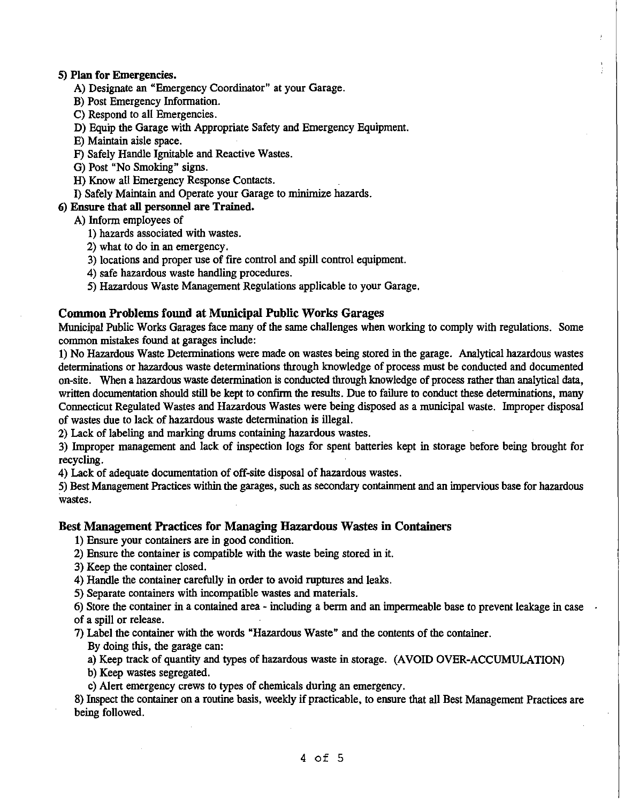### 5) Plan for Emergencies.

- A) Designate an "Emergency Coordinator" at your Garage.
- B) Post Emergency Information.
- C) Respond to all Emergencies.
- D) Equip the Garage with Appropriate Safety and Emergency Equipment.
- E) Maintain aisle space.
- F) Safely Handle Ignitable and Reactive Wastes.
- G) Post "No Smoking" signs.
- H) Know all Emergency Response Contacts.
- I) Safely Maintain and Operate your Garage to minimize hazards.

# 6) Ensure that all personnel are Trained.

- A) Inform employees of
	- 1) hazards associated with wastes.
	- 2) what to do in an emergency.
	- 3) locations and proper use of fire control and spill control equipment.
	- 4) safe hazardous waste handling procedures.
	- 5) Hazardous Waste Management Regulations applicable to your Garage.

# Common Problems found at Municipal Public Works Garages

Municipal Public Works Garages face many of the same challenges when working to comply with regulations. Some common mistakes found at garages include:

1) No Hazardous Waste Determinations were made on wastes being stored in the garage. Analytical hazardous wastes determinations or hazardous waste determinations through knowledge of process must be conducted and documented on-site. When a hazardous waste determination is conducted through knowledge of process rather than analytical data, written documentation should still be kept to confirm the results. Due to failure to conduct these determinations, many Connecticut Regulated Wastes and Hazardous Wastes were being disposed as a municipal waste. Improper disposal of wastes due to lack of hazardous waste determination is illegal.

2) Lack of labeling and marking drums containing hazardous wastes.

3) Improper management and lack of inspection logs for spent batteries kept in storage before being brought for recycling.

4) Lack of adequate documentation of off-site disposal of hazardous wastes.

5) Best Management Practices within the garages, such as secondary containment and an impervious base for hazardous wastes.

# Best Management Practices for Managing Hazardous Wastes in Containers

1) Ensure your containers are in good condition.

- 2) Ensure the container is compatible with the waste being stored in it.
- 3) Keep the container closed.
- 4) Handle the container carefully in order to avoid ruptures and leaks.
- 5) Separate containers with incompatible wastes and materials.

6) Store the container in a contained area - including a berm and an impermeable base to prevent leakage in case of a spill or release.

7) Label the container with the words "Hazardous Waste" and the contents of the container.

By doing this, the garage can:

a) Keep track of quantity and types of hazardous waste in storage. (AVOID OVER-ACCUMULATION)

b) Keep wastes segregated.

c) Alert emergency crews to types of chemicals during an emergency.

8) Inspect the container on a routine basis, weekly if practicable, to ensure that all Best Management Practices are being followed.